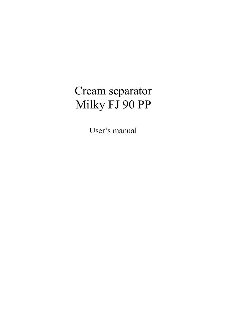# Cream separator Milky FJ 90 PP

User's manual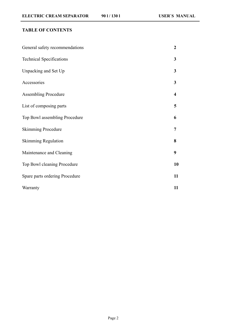# **TABLE OF CONTENTS**

| General safety recommendations  | $\overline{2}$ |
|---------------------------------|----------------|
| <b>Technical Specifications</b> | 3              |
| Unpacking and Set Up            | 3              |
| Accessories                     | 3              |
| <b>Assembling Procedure</b>     | 4              |
| List of composing parts         | 5              |
| Top Bowl assembling Procedure   | 6              |
| <b>Skimming Procedure</b>       | 7              |
| <b>Skimming Regulation</b>      | 8              |
| Maintenance and Cleaning        | 9              |
| Top Bowl cleaning Procedure     | 10             |
| Spare parts ordering Procedure  | 11             |
| Warranty                        | 11             |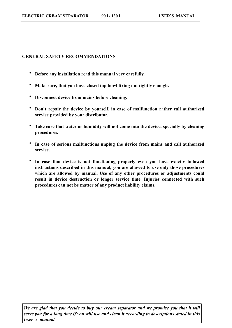#### **GENERAL SAFETY RECOMMENDATIONS**

- **Before any installation read this manual very carefully.**
- **Make sure, that you have closed top bowl fixing nut tightly enough.**
- **Disconnect device from mains before cleaning.**
- **Don`t repair the device by yourself, in case of malfunction rather call authorized service provided by your distributor.**
- **Take care that water or humidity will not come into the device, specially by cleaning procedures.**
- **In case of serious malfunctions unplug the device from mains and call authorized service.**
- **In case that device is not functioning properly even you have exactly followed instructions described in this manual, you are allowed to use only those procedures which are allowed by manual. Use of any other procedures or adjustments could result in device destruction or longer service time. Injuries connected with such procedures can not be matter of any product liability claims.**

*We are glad that you decide to buy our cream separator and we promise you that it will serve you for a long time if you will use and clean it according to descriptions stated in this User` s manual.*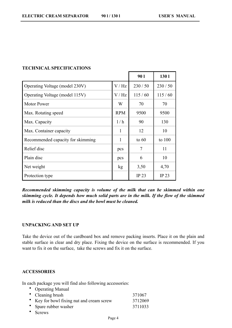|                                   |              | <b>901</b>   | 1301             |
|-----------------------------------|--------------|--------------|------------------|
| Operating Voltage (model 230V)    | V/Hz         | 230/50       | 230/50           |
| Operating Voltage (model 115V)    | V/Hz         | 115/60       | 115/60           |
| <b>Motor Power</b>                | W            | 70           | 70               |
| Max. Rotating speed               | <b>RPM</b>   | 9500         | 9500             |
| Max. Capacity                     | 1/h          | 90           | 130              |
| Max. Container capacity           | 1            | 12           | 10               |
| Recommended capacity for skimming | $\mathbf{1}$ | to $60$      | to $100$         |
| Relief disc                       | pcs          | 7            | 11               |
| Plain disc                        | pcs          | 6            | 10               |
| Net weight                        | kg           | 3,50         | 4,70             |
| Protection type                   |              | <b>IP 23</b> | IP <sub>23</sub> |

## **TECHNICAL SPECIFICATIONS**

*Recommended skimming capacity is volume of the milk that can be skimmed within one skimming cycle. It depends how much solid parts are in the milk. If the flow of the skimmed milk is reduced than the discs and the bowl must be cleaned.* 

## **UNPACKING AND SET UP**

Take the device out of the cardboard box and remove packing inserts. Place it on the plain and stable surface in clear and dry place. Fixing the device on the surface is recommended. If you want to fix it on the surface, take the screws and fix it on the surface.

# **ACCESSORIES**

In each package you will find also following accessories:

| • Operating Manual                        |         |
|-------------------------------------------|---------|
| • Cleaning brush                          | 371067  |
| • Key for bowl fixing nut and cream screw | 3712069 |
| • Spare rubber washer                     | 3711033 |

• Screws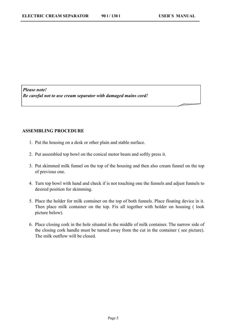*Please note! Be careful not to use cream separator with damaged mains cord!* 

# **ASSEMBLING PROCEDURE**

- 1. Put the housing on a desk or other plain and stable surface.
- 2. Put assembled top bowl on the conical motor beam and softly press it.
- 3. Put skimmed milk funnel on the top of the housing and then also cream funnel on the top of previous one.
- 4. Turn top bowl with hand and check if is not touching one the funnels and adjust funnels to desired position for skimming.
- 5. Place the holder for milk container on the top of both funnels. Place floating device in it. Then place milk container on the top. Fix all together with holder on housing ( look picture below).
- 6. Place closing cork in the hole situated in the middle of milk container. The narrow side of the closing cork handle must be turned away from the cut in the container ( see picture). The milk outflow will be closed.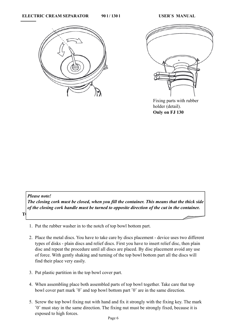



 Fixing parts with rubber holder (detail). **Only on FJ 130**

#### *Please note!*

*The closing cork must be closed, when you fill the container. This means that the thick side of the closing cork handle must be turned to opposite direction of the cut in the container.*

**TOP BOWL ASSEMBLING PROCEDURE** 

- 1. Put the rubber washer in to the notch of top bowl bottom part.
- 2. Place the metal discs. You have to take care by discs placement device uses two different types of disks - plain discs and relief discs. First you have to insert relief disc, then plain disc and repeat the procedure until all discs are placed. By disc placement avoid any use of force. With gently shaking and turning of the top bowl bottom part all the discs will find their place very easily.
- 3. Put plastic partition in the top bowl cover part.
- 4. When assembling place both assembled parts of top bowl together. Take care that top bowl cover part mark ˝0˝ and top bowl bottom part ˝0˝ are in the same direction.
- 5. Screw the top bowl fixing nut with hand and fix it strongly with the fixing key. The mark ˝0˝ must stay in the same direction. The fixing nut must be strongly fixed, because it is exposed to high forces.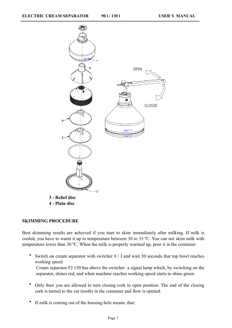

#### **SKIMMING PROCEDURE**

Best skimming results are achieved if you start to skim immediately after milking. If milk is cooled, you have to warm it up to temperature between 30 to 35 ºC. You can not skim milk with temperature lower than 30 ºC. When the milk is properly warmed up, pour it in the container.

• Switch on cream separator with switcher 0 / I and wait 30 seconds that top bowl reaches working speed.

Cream separator FJ 130 has above the switcher a signal lamp which, by switching on the separator, shines red, and when machine reaches working speed starts to shine green.

- Only then you are allowed to turn closing cork to open position. The end of the closing cork is turned to the cut (tooth) in the container and flow is opened.
- If milk is coming out of the housing hole means, that: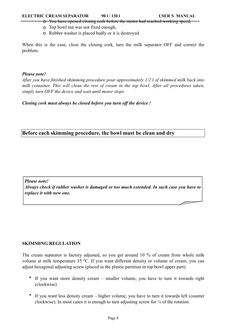#### **ELECTRIC CREAM SEPARATOR 90 1/130 l USER'S MANUAL**

- o You have opened closing cork before the motor had reached working speed,
- o Top bowl nut was not fixed enough,
- o Rubber washer is placed badly or it is destroyed.

When this is the case, close the closing cork, turn the milk separator OFF and correct the problem.

## *Please note!*

*After you have finished skimming procedure pour approximately 1/2 l of skimmed milk back into milk container. This will clean the rest of cream in the top bowl. After all procedures taken, simply turn OFF the device and wait until motor stops.*

*Closing cork must always be closed before you turn off the device !*

# **Before each skimming procedure, the bowl must be clean and dry**

*Please note! Always check if rubber washer is damaged or too much extended. In such case you have to replace it with new one.*

# **SKIMMING REGULATION**

The cream separator is factory adjusted, so you get around 10 % of cream from whole milk volume at milk temperature 35 ºC. If you want different density or volume of cream, you can adjust hexagonal adjusting screw (placed in the plastic partition in top bowl upper part).

- If you want more density cream smaller volume, you have to turn it towards right (clockwise)
- If you want less density cream higher volume, you have to turn it towards left (counter clockwise). In most cases it is enough to turn adjusting screw for  $\frac{1}{4}$  of the rotation.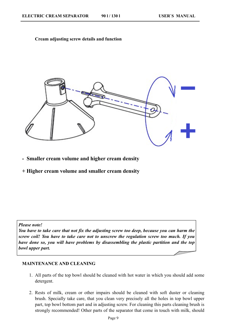#### **Cream adjusting screw details and function**



**- Smaller cream volume and higher cream density**

**+ Higher cream volume and smaller cream density**

*Please note!*

*You have to take care that not fix the adjusting screw too deep, because you can harm the screw coil! You have to take care not to unscrew the regulation screw too much. If you have done so, you will have problems by disassembling the plastic partition and the top bowl upper part.*

#### **MAINTENANCE AND CLEANING**

- 1. All parts of the top bowl should be cleaned with hot water in which you should add some detergent.
- 2. Rests of milk, cream or other impairs should be cleaned with soft duster or cleaning brush. Specially take care, that you clean very precisely all the holes in top bowl upper part, top bowl bottom part and in adjusting screw. For cleaning this parts cleaning brush is strongly recommended! Other parts of the separator that come in touch with milk, should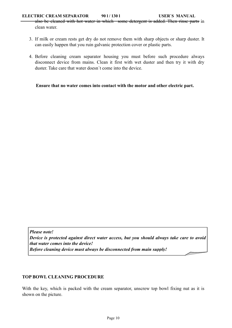### **ELECTRIC CREAM SEPARATOR 90 1/130 l USER'S MANUAL**

also be cleaned with hot water in which some detergent is added. Then rinse parts in clean water.

- 3. If milk or cream rests get dry do not remove them with sharp objects or sharp duster. It can easily happen that you ruin galvanic protection cover or plastic parts.
- 4. Before cleaning cream separator housing you must before such procedure always disconnect device from mains. Clean it first with wet duster and then try it with dry duster. Take care that water doesn´t come into the device.

**Ensure that no water comes into contact with the motor and other electric part.**

*Please note! Device is protected against direct water access, but you should always take care to avoid that water comes into the device! Before cleaning device must always be disconnected from main supply!*

# **TOP BOWL CLEANING PROCEDURE**

With the key, which is packed with the cream separator, unscrew top bowl fixing nut as it is shown on the picture.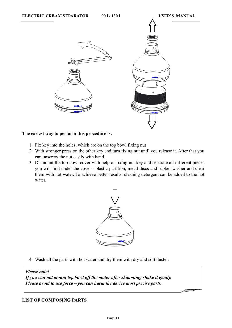

## **The easiest way to perform this procedure is:**

- 1. Fix key into the holes, which are on the top bowl fixing nut
- 2. With stronger press on the other key end turn fixing nut until you release it. After that you can unscrew the nut easily with hand.
- 3. Dismount the top bowl cover with help of fixing nut key and separate all different pieces you will find under the cover - plastic partition, metal discs and rubber washer and clear them with hot water. To achieve better results, cleaning detergent can be added to the hot water.



4. Wash all the parts with hot water and dry them with dry and soft duster.

#### *Please note!*

*If you can not mount top bowl off the motor after skimming, shake it gently. Please avoid to use force – you can harm the device most precise parts.*

# **LIST OF COMPOSING PARTS**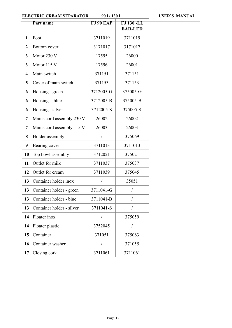**ELECTRIC CREAM SEPARATOR** 901/1301 USER'S MANUAL

|                         | Part name                 | <b>FJ 90 EAP</b> | <b>FJ 130 -LL</b><br><b>EAR-LED</b> |
|-------------------------|---------------------------|------------------|-------------------------------------|
| 1                       | Foot                      | 3711019          | 3711019                             |
| $\boldsymbol{2}$        | Bottom cover              | 3171017          | 3171017                             |
| 3                       | Motor 230 V               | 17595            | 26000                               |
| 3                       | Motor 115 V               | 17596            | 26001                               |
| $\overline{\mathbf{4}}$ | Main switch               | 371151           | 371151                              |
| 5                       | Cover of main switch      | 371153           | 371153                              |
| 6                       | Housing - green           | 3712005-G        | 375005-G                            |
| 6                       | Housing - blue            | 3712005-B        | 375005-B                            |
| 6                       | Housing - silver          | 3712005-S        | 375005-S                            |
| $\overline{7}$          | Mains cord assembly 230 V | 26002            | 26002                               |
| $\overline{7}$          | Mains cord assembly 115 V | 26003            | 26003                               |
| 8                       | Holder assembly           | T                | 375069                              |
| 9                       | Bearing cover             | 3711013          | 3711013                             |
| 10                      | Top bowl assembly         | 3712021          | 375021                              |
| 11                      | Outlet for milk           | 3711037          | 375037                              |
| 12                      | Outlet for cream          | 3711039          | 375045                              |
| 13                      | Container holder inox     | $\sqrt{2}$       | 35051                               |
| 13                      | Container holder - green  | 3711041-G        | $\sqrt{2}$                          |
| 13                      | Container holder - blue   | 3711041-B        |                                     |
| 13                      | Container holder - silver | 3711041-S        | $\sqrt{2}$                          |
| 14                      | Floater inox              | Т                | 375059                              |
| 14                      | Floater plastic           | 3752045          | $\sqrt{2}$                          |
| 15                      | Container                 | 371051           | 375063                              |
| 16                      | Container washer          | /                | 371055                              |
| 17                      | Closing cork              | 3711061          | 3711061                             |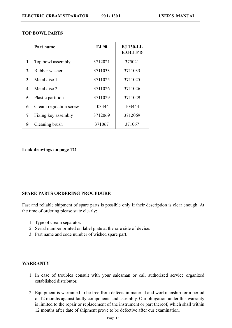|  | 90 1/130 1 |  |
|--|------------|--|
|  |            |  |

|                         | Part name              | <b>FJ</b> 90 | <b>FJ 130-LL</b><br><b>EAR-LED</b> |
|-------------------------|------------------------|--------------|------------------------------------|
| 1                       | Top bowl assembly      | 3712021      | 375021                             |
| $\mathbf{2}$            | Rubber washer          | 3711033      | 3711033                            |
| 3                       | Metal disc 1           | 3711025      | 3711025                            |
| $\overline{\mathbf{4}}$ | Metal disc 2           | 3711026      | 3711026                            |
| 5                       | Plastic partition      | 3711029      | 3711029                            |
| 6                       | Cream regulation screw | 103444       | 103444                             |
| 7                       | Fixing key assembly    | 3712069      | 3712069                            |
| 8                       | Cleaning brush         | 371067       | 371067                             |

#### **Look drawings on page 12!**

#### **SPARE PARTS ORDERING PROCEDURE**

Fast and reliable shipment of spare parts is possible only if their description is clear enough. At the time of ordering please state clearly:

- 1. Type of cream separator.
- 2. Serial number printed on label plate at the rare side of device.
- 3. Part name and code number of wished spare part.

### **WARRANTY**

- 1. In case of troubles consult with your salesman or call authorized service organized established distributor.
- 2. Equipment is warranted to be free from defects in material and workmanship for a period of 12 months against faulty components and assembly. Our obligation under this warranty is limited to the repair or replacement of the instrument or part thereof, which shall within 12 months after date of shipment prove to be defective after our examination.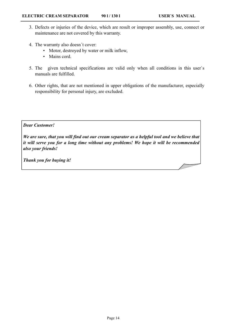- 3. Defects or injuries of the device, which are result or improper assembly, use, connect or maintenance are not covered by this warranty.
- 4. The warranty also doesn´t cover:
	- Motor, destroyed by water or milk inflow,
	- Mains cord.
- 5. The given technical specifications are valid only when all conditions in this user`s manuals are fulfilled.
- 6. Other rights, that are not mentioned in upper obligations of the manufacturer, especially responsibility for personal injury, are excluded.

## *Dear Customer!*

*We are sure, that you will find out our cream separator as a helpful tool and we believe that it will serve you for a long time without any problems! We hope it will be recommended also your friends!*

*Thank you for buying it!*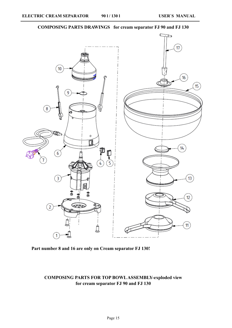# **COMPOSING PARTS DRAWINGS for cream separator FJ 90 and FJ 130**



# **Part number 8 and 16 are only on Cream separator FJ 130!**

# **COMPOSING PARTS FOR TOP BOWL ASSEMBLY-exploded view for cream separator FJ 90 and FJ 130**